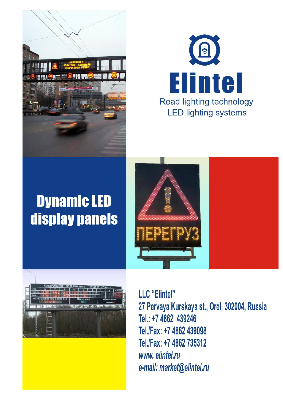



# **Dynamic LED** display panels





LLC "Elintel" 27 Pervaya Kurskaya st., Orel, 302004, Russia Tel.: +7 4862 439246 Tel./Fax: +7 4862 439098 Tel./Fax: +7 4862 735312 www.elintel.ru e-mail: market@elintel.ru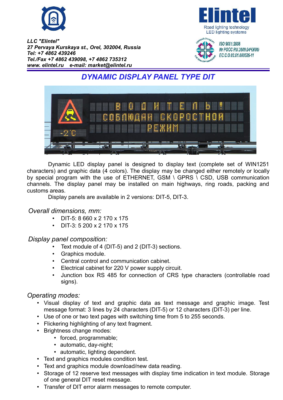





ISO 9001:2008 № POCC RU.3609.04ЧЖ00/ EC.C.O.02.01.000526-11

# *DYNAMIC DISPLAY PANEL TYPE DIT*



Dynamic LED display panel is designed to display text (complete set of WIN1251 characters) and graphic data (4 colors). The display may be changed either remotely or locally by special program with the use of ETHERNET, GSM \ GPRS \ CSD, USB communication channels. The display panel may be installed on main highways, ring roads, packing and customs areas.

Display panels are available in 2 versions: DIT-5, DIT-3.

#### *Overall dimensions, mm:*

- DIT-5: 8 660 х 2 170 х 175
- DIT-3: 5 200 х 2 170 х 175

#### *Display panel composition:*

- Text module of 4 (DIT-5) and 2 (DIT-3) sections.
- Graphics module.
- Central control and communication cabinet.
- Electrical cabinet for 220 V power supply circuit.
- Junction box RS 485 for connection of CRS type characters (controllable road signs).

#### *Operating modes:*

- Visual display of text and graphic data as text message and graphic image. Test message format: 3 lines by 24 characters (DIT-5) or 12 characters (DIT-3) per line.
- Use of one or two text pages with switching time from 5 to 255 seconds.
- Flickering highlighting of any text fragment.
- Brightness change modes:
	- forced, programmable;
	- automatic, day-night;
	- automatic, lighting dependent.
- Text and graphics modules condition test.
- Text and graphics module download/new data reading.
- Storage of 12 reserve text messages with display time indication in text module. Storage of one general DIT reset message.
- Transfer of DIT error alarm messages to remote computer.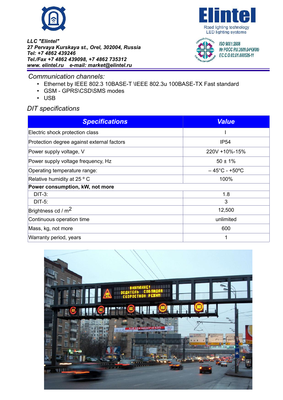





ISO 9001:2008 Nº POCC RU.3609.04ЧЖ00/ EC.C.O.02.01.000526-11

*Communication channels:*

- Ethernet by IEEE 802.3 10BASE-T \IEEE 802.3u 100BASE-TX Fast standard
- GSM GPRS\CSD\SMS modes
- USB

### *DIT specifications*

| <b>Specifications</b>                      | <b>Value</b>                       |  |
|--------------------------------------------|------------------------------------|--|
| Electric shock protection class            |                                    |  |
| Protection degree against external factors | <b>IP54</b>                        |  |
| Power supply voltage, V                    | 220V +10%-15%                      |  |
| Power supply voltage frequency, Hz         | $50 \pm 1\%$                       |  |
| Operating temperature range:               | $-45^{\circ}$ C - +50 $^{\circ}$ C |  |
| Relative humidity at 25 ° C                | 100%                               |  |
| Power consumption, kW, not more            |                                    |  |
| $DIT-3:$                                   | 1.8                                |  |
| $DIT-5:$                                   | 3                                  |  |
| Brightness cd / $m2$                       | 12,500                             |  |
| Continuous operation time                  | unlimited                          |  |
| Mass, kg, not more                         | 600                                |  |
| Warranty period, years                     |                                    |  |

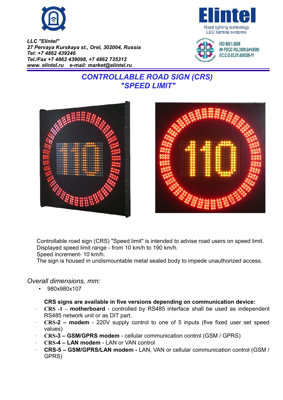





ISO 9001:2008 Nº POCC RU.3609.04ЧЖ00/ EC.C.O.02.01.000526-11

# *CONTROLLABLE ROAD SIGN (CRS) "SPEED LIMIT"*





Controllable road sign (CRS) "Speed limit" is intended to advise road users on speed limit. Displayed speed limit range - from 10 km/h to 190 km/h.

Speed increment- 10 km/h.

The sign is housed in undismountable metal sealed body to impede unauthorized access.

#### *Overall dimensions, mm:*

• 980х980х107

#### **CRS signs are available in five versions depending on communication device:**

- **CRS -1 motherboard**  controlled by RS485 interface shall be used as independent RS485 network unit or as DIT part.
- **CRS-2 modem** 220V supply control to one of 5 inputs (five fixed user set speed values)
- **CRS-3 GSM/GPRS modem** cellular communication control (GSM / GPRS)
- **CRS-4 LAN modem** LAN or VAN control
- **CRS-5 GSM/GPRS/LAN modem** LAN, VAN or cellular communication control (GSM / GPRS)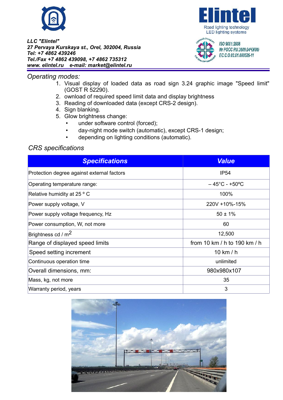

#### *Operating modes:*

- 1. Visual display of loaded data as road sign 3.24 graphic image "Speed limit" (GOST R 52290).
- 2. ownload of required speed limit data and display brightness
- 3. Reading of downloaded data (except CRS-2 design).
- 4. Sign blanking.
- 5. Glow brightness change:
	- under software control (forced);
	- day-night mode switch (automatic), except CRS-1 design;
	- depending on lighting conditions (automatic).

## *CRS specifications*

| <b>Specifications</b>                      | <b>Value</b>                       |
|--------------------------------------------|------------------------------------|
| Protection degree against external factors | <b>IP54</b>                        |
| Operating temperature range:               | $-45^{\circ}$ C - +50 $^{\circ}$ C |
| Relative humidity at 25 ° C                | 100%                               |
| Power supply voltage, V                    | 220V +10%-15%                      |
| Power supply voltage frequency, Hz         | $50 \pm 1\%$                       |
| Power consumption, W, not more             | 60                                 |
| Brightness cd / $m2$                       | 12,500                             |
| Range of displayed speed limits            | from 10 km / h to 190 km / h       |
| Speed setting increment                    | 10 km / h                          |
| Continuous operation time                  | unlimited                          |
| Overall dimensions, mm:                    | 980x980x107                        |
| Mass, kg, not more                         | 35                                 |
| Warranty period, years                     | 3                                  |







ISO 9001:2008 Nº POCC RU.3609.04ЧЖ00/ EC.C.O.02.01.000526-11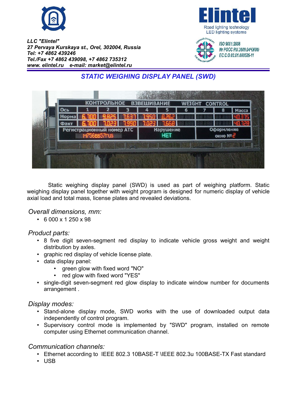





ISO 9001:2008 Nº POCC RU.3609.044X00/ EC.C.O.02.01.000526-11

# *STATIC WEIGHING DISPLAY PANEL (SWD)*



Static weighing display panel (SWD) is used as part of weighing platform. Static weighing display panel together with weight program is designed for numeric display of vehicle axial load and total mass, license plates and revealed deviations.

#### *Overall dimensions, mm:*

• 6 000 х 1 250 х 98

#### *Product parts:*

- 8 five digit seven-segment red display to indicate vehicle gross weight and weight distribution by axles.
- graphic red display of vehicle license plate.
- data display panel:
	- green glow with fixed word "NO"
	- red glow with fixed word "YES"
- single-digit seven-segment red glow display to indicate window number for documents arrangement .

#### *Display modes:*

- Stand-alone display mode, SWD works with the use of downloaded output data independently of control program.
- Supervisory control mode is implemented by "SWD" program, installed on remote computer using Ethernet communication channel.

#### *Communication channels:*

- Ethernet according to IEEE 802.3 10BASE-T \IEEE 802.3u 100BASE-TX Fast standard
- USB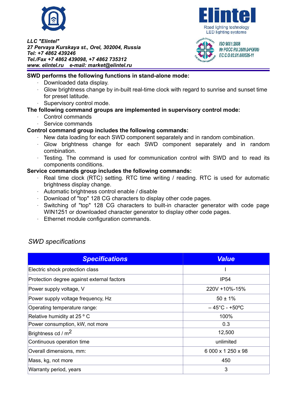





Nº POCC RU.3609.044X00/ EC.C.O.02.01.000526-11

#### **SWD performs the following functions in stand-alone mode:**

- Downloaded data display.
- Glow brightness change by in-built real-time clock with regard to sunrise and sunset time for preset latitude.
- Supervisory control mode.

#### **The following command groups are implemented in supervisory control mode:**

- Control commands
- Service commands

#### **Control command group includes the following commands:**

- New data loading for each SWD component separately and in random combination.
- Glow brightness change for each SWD component separately and in random combination.
- Testing. The command is used for communication control with SWD and to read its components conditions.

#### **Service commands group includes the following commands:**

- Real time clock (RTC) setting. RTC time writing / reading. RTC is used for automatic brightness display change.
- Automatic brightness control enable / disable
- $\cdot$  Download of "top" 128 CG characters to display other code pages.
- Switching of "top" 128 CG characters to built-in character generator with code page WIN1251 or downloaded character generator to display other code pages.
- Ethernet module configuration commands.

#### *SWD specifications*

| <b>Specifications</b>                      | <b>Value</b>                       |
|--------------------------------------------|------------------------------------|
| Electric shock protection class            |                                    |
| Protection degree against external factors | <b>IP54</b>                        |
| Power supply voltage, V                    | 220V +10%-15%                      |
| Power supply voltage frequency, Hz         | $50 \pm 1\%$                       |
| Operating temperature range:               | $-45^{\circ}$ C - +50 $^{\circ}$ C |
| Relative humidity at 25 ° C                | 100%                               |
| Power consumption, kW, not more            | 0.3                                |
| Brightness cd / $m2$                       | 12,500                             |
| Continuous operation time                  | unlimited                          |
| Overall dimensions, mm:                    | 6 000 x 1 250 x 98                 |
| Mass, kg, not more                         | 450                                |
| Warranty period, years                     | 3                                  |